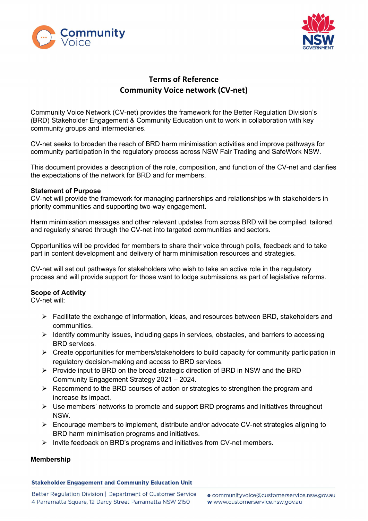



# Terms of Reference Community Voice network (CV-net)

Community Voice Network (CV-net) provides the framework for the Better Regulation Division's (BRD) Stakeholder Engagement & Community Education unit to work in collaboration with key community groups and intermediaries.

CV-net seeks to broaden the reach of BRD harm minimisation activities and improve pathways for community participation in the regulatory process across NSW Fair Trading and SafeWork NSW.

This document provides a description of the role, composition, and function of the CV-net and clarifies the expectations of the network for BRD and for members.

#### Statement of Purpose

CV-net will provide the framework for managing partnerships and relationships with stakeholders in priority communities and supporting two-way engagement.

Harm minimisation messages and other relevant updates from across BRD will be compiled, tailored, and regularly shared through the CV-net into targeted communities and sectors.

Opportunities will be provided for members to share their voice through polls, feedback and to take part in content development and delivery of harm minimisation resources and strategies.

CV-net will set out pathways for stakeholders who wish to take an active role in the regulatory process and will provide support for those want to lodge submissions as part of legislative reforms.

## Scope of Activity

CV-net will:

- $\triangleright$  Facilitate the exchange of information, ideas, and resources between BRD, stakeholders and communities.
- $\triangleright$  Identify community issues, including gaps in services, obstacles, and barriers to accessing BRD services.
- $\triangleright$  Create opportunities for members/stakeholders to build capacity for community participation in regulatory decision-making and access to BRD services.
- $\triangleright$  Provide input to BRD on the broad strategic direction of BRD in NSW and the BRD Community Engagement Strategy 2021 – 2024.
- $\triangleright$  Recommend to the BRD courses of action or strategies to strengthen the program and increase its impact.
- $\triangleright$  Use members' networks to promote and support BRD programs and initiatives throughout NSW.
- $\triangleright$  Encourage members to implement, distribute and/or advocate CV-net strategies aligning to BRD harm minimisation programs and initiatives.
- $\triangleright$  Invite feedback on BRD's programs and initiatives from CV-net members.

## Membership

## **Stakeholder Engagement and Community Education Unit**